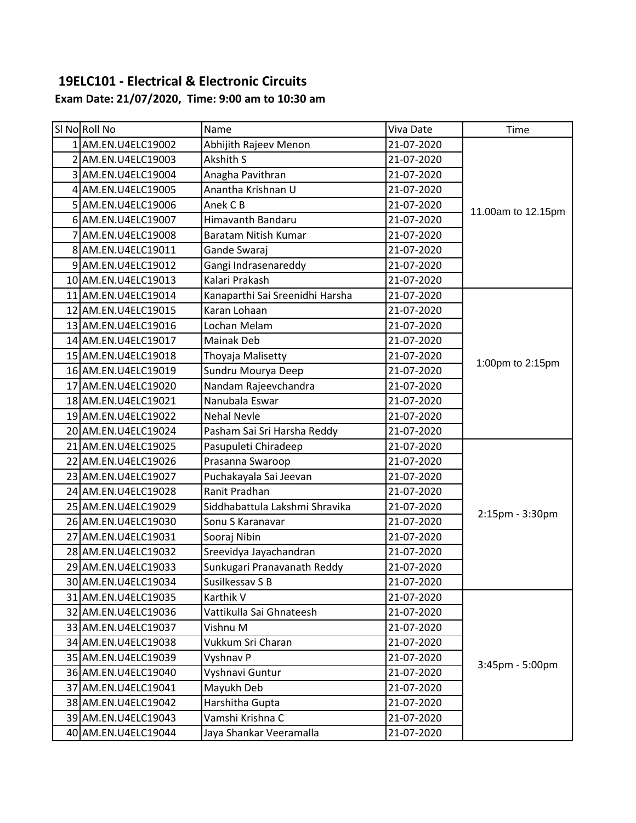#### **19ELC101 - Electrical & Electronic Circuits Exam Date: 21/07/2020, Time: 9:00 am to 10:30 am**

| SI No Roll No       | Name                            | Viva Date  | Time               |
|---------------------|---------------------------------|------------|--------------------|
| 1 AM.EN.U4ELC19002  | Abhijith Rajeev Menon           | 21-07-2020 |                    |
| 2 AM.EN.U4ELC19003  | Akshith S                       | 21-07-2020 |                    |
| 3 AM.EN.U4ELC19004  | Anagha Pavithran                | 21-07-2020 |                    |
| 4 AM.EN.U4ELC19005  | Anantha Krishnan U              | 21-07-2020 |                    |
| 5 AM.EN.U4ELC19006  | Anek C B                        | 21-07-2020 | 11.00am to 12.15pm |
| 6 AM.EN.U4ELC19007  | Himavanth Bandaru               | 21-07-2020 |                    |
| 7 AM.EN.U4ELC19008  | Baratam Nitish Kumar            | 21-07-2020 |                    |
| 8 AM.EN.U4ELC19011  | Gande Swaraj                    | 21-07-2020 |                    |
| 9 AM.EN.U4ELC19012  | Gangi Indrasenareddy            | 21-07-2020 |                    |
| 10 AM.EN.U4ELC19013 | Kalari Prakash                  | 21-07-2020 |                    |
| 11 AM.EN.U4ELC19014 | Kanaparthi Sai Sreenidhi Harsha | 21-07-2020 |                    |
| 12 AM.EN.U4ELC19015 | Karan Lohaan                    | 21-07-2020 |                    |
| 13 AM.EN.U4ELC19016 | Lochan Melam                    | 21-07-2020 |                    |
| 14 AM.EN.U4ELC19017 | Mainak Deb                      | 21-07-2020 |                    |
| 15 AM.EN.U4ELC19018 | Thoyaja Malisetty               | 21-07-2020 | 1:00pm to 2:15pm   |
| 16 AM.EN.U4ELC19019 | Sundru Mourya Deep              | 21-07-2020 |                    |
| 17 AM.EN.U4ELC19020 | Nandam Rajeevchandra            | 21-07-2020 |                    |
| 18 AM.EN.U4ELC19021 | Nanubala Eswar                  | 21-07-2020 |                    |
| 19 AM.EN.U4ELC19022 | <b>Nehal Nevle</b>              | 21-07-2020 |                    |
| 20 AM.EN.U4ELC19024 | Pasham Sai Sri Harsha Reddy     | 21-07-2020 |                    |
| 21 AM.EN.U4ELC19025 | Pasupuleti Chiradeep            | 21-07-2020 |                    |
| 22 AM.EN.U4ELC19026 | Prasanna Swaroop                | 21-07-2020 |                    |
| 23 AM.EN.U4ELC19027 | Puchakayala Sai Jeevan          | 21-07-2020 |                    |
| 24 AM.EN.U4ELC19028 | Ranit Pradhan                   | 21-07-2020 |                    |
| 25 AM.EN.U4ELC19029 | Siddhabattula Lakshmi Shravika  | 21-07-2020 |                    |
| 26 AM.EN.U4ELC19030 | Sonu S Karanavar                | 21-07-2020 | 2:15pm - 3:30pm    |
| 27 AM.EN.U4ELC19031 | Sooraj Nibin                    | 21-07-2020 |                    |
| 28 AM.EN.U4ELC19032 | Sreevidya Jayachandran          | 21-07-2020 |                    |
| 29 AM.EN.U4ELC19033 | Sunkugari Pranavanath Reddy     | 21-07-2020 |                    |
| 30 AM.EN.U4ELC19034 | Susilkessav S B                 | 21-07-2020 |                    |
| 31 AM.EN.U4ELC19035 | Karthik V                       | 21-07-2020 |                    |
| 32 AM.EN.U4ELC19036 | Vattikulla Sai Ghnateesh        | 21-07-2020 |                    |
| 33 AM.EN.U4ELC19037 | Vishnu M                        | 21-07-2020 |                    |
| 34 AM.EN.U4ELC19038 | Vukkum Sri Charan               | 21-07-2020 |                    |
| 35 AM.EN.U4ELC19039 | Vyshnav P                       | 21-07-2020 | 3:45pm - 5:00pm    |
| 36 AM.EN.U4ELC19040 | Vyshnavi Guntur                 | 21-07-2020 |                    |
| 37 AM.EN.U4ELC19041 | Mayukh Deb                      | 21-07-2020 |                    |
| 38 AM.EN.U4ELC19042 | Harshitha Gupta                 | 21-07-2020 |                    |
| 39 AM.EN.U4ELC19043 | Vamshi Krishna C                | 21-07-2020 |                    |
| 40 AM.EN.U4ELC19044 | Jaya Shankar Veeramalla         | 21-07-2020 |                    |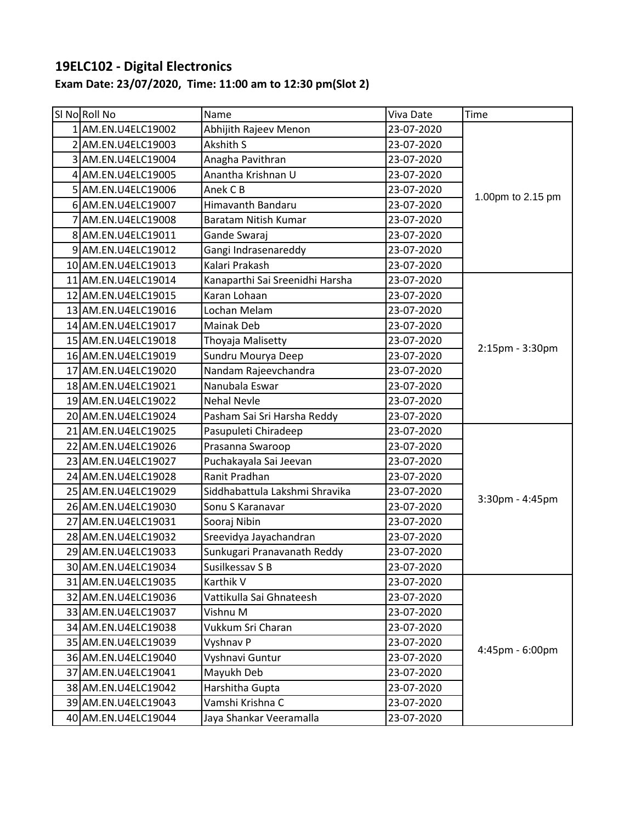# **19ELC102 - Digital Electronics**

## **Exam Date: 23/07/2020, Time: 11:00 am to 12:30 pm(Slot 2)**

| SI No Roll No       | Name                            | Viva Date  | Time              |
|---------------------|---------------------------------|------------|-------------------|
| 1 AM.EN.U4ELC19002  | Abhijith Rajeev Menon           | 23-07-2020 |                   |
| 2 AM.EN.U4ELC19003  | Akshith S                       | 23-07-2020 | 1.00pm to 2.15 pm |
| 3 AM.EN.U4ELC19004  | Anagha Pavithran                | 23-07-2020 |                   |
| 4 AM.EN.U4ELC19005  | Anantha Krishnan U              | 23-07-2020 |                   |
| 5 AM.EN.U4ELC19006  | Anek C B                        | 23-07-2020 |                   |
| 6 AM.EN.U4ELC19007  | Himavanth Bandaru               | 23-07-2020 |                   |
| 7 AM.EN.U4ELC19008  | Baratam Nitish Kumar            | 23-07-2020 |                   |
| 8 AM.EN.U4ELC19011  | Gande Swaraj                    | 23-07-2020 |                   |
| 9 AM.EN.U4ELC19012  | Gangi Indrasenareddy            | 23-07-2020 |                   |
| 10 AM.EN.U4ELC19013 | Kalari Prakash                  | 23-07-2020 |                   |
| 11 AM.EN.U4ELC19014 | Kanaparthi Sai Sreenidhi Harsha | 23-07-2020 |                   |
| 12 AM.EN.U4ELC19015 | Karan Lohaan                    | 23-07-2020 |                   |
| 13 AM.EN.U4ELC19016 | Lochan Melam                    | 23-07-2020 |                   |
| 14 AM.EN.U4ELC19017 | Mainak Deb                      | 23-07-2020 |                   |
| 15 AM.EN.U4ELC19018 | Thoyaja Malisetty               | 23-07-2020 |                   |
| 16 AM.EN.U4ELC19019 | Sundru Mourya Deep              | 23-07-2020 | 2:15pm - 3:30pm   |
| 17 AM.EN.U4ELC19020 | Nandam Rajeevchandra            | 23-07-2020 |                   |
| 18 AM.EN.U4ELC19021 | Nanubala Eswar                  | 23-07-2020 |                   |
| 19 AM.EN.U4ELC19022 | <b>Nehal Nevle</b>              | 23-07-2020 |                   |
| 20 AM.EN.U4ELC19024 | Pasham Sai Sri Harsha Reddy     | 23-07-2020 |                   |
| 21 AM.EN.U4ELC19025 | Pasupuleti Chiradeep            | 23-07-2020 |                   |
| 22 AM.EN.U4ELC19026 | Prasanna Swaroop                | 23-07-2020 |                   |
| 23 AM.EN.U4ELC19027 | Puchakayala Sai Jeevan          | 23-07-2020 |                   |
| 24 AM.EN.U4ELC19028 | Ranit Pradhan                   | 23-07-2020 |                   |
| 25 AM.EN.U4ELC19029 | Siddhabattula Lakshmi Shravika  | 23-07-2020 |                   |
| 26 AM.EN.U4ELC19030 | Sonu S Karanavar                | 23-07-2020 | 3:30pm - 4:45pm   |
| 27 AM.EN.U4ELC19031 | Sooraj Nibin                    | 23-07-2020 |                   |
| 28 AM.EN.U4ELC19032 | Sreevidya Jayachandran          | 23-07-2020 |                   |
| 29 AM.EN.U4ELC19033 | Sunkugari Pranavanath Reddy     | 23-07-2020 |                   |
| 30 AM.EN.U4ELC19034 | Susilkessav S B                 | 23-07-2020 |                   |
| 31 AM.EN.U4ELC19035 | Karthik V                       | 23-07-2020 |                   |
| 32 AM.EN.U4ELC19036 | Vattikulla Sai Ghnateesh        | 23-07-2020 |                   |
| 33 AM.EN.U4ELC19037 | Vishnu M                        | 23-07-2020 |                   |
| 34 AM.EN.U4ELC19038 | Vukkum Sri Charan               | 23-07-2020 |                   |
| 35 AM.EN.U4ELC19039 | Vyshnav P                       | 23-07-2020 | 4:45pm - 6:00pm   |
| 36 AM.EN.U4ELC19040 | Vyshnavi Guntur                 | 23-07-2020 |                   |
| 37 AM.EN.U4ELC19041 | Mayukh Deb                      | 23-07-2020 |                   |
| 38 AM.EN.U4ELC19042 | Harshitha Gupta                 | 23-07-2020 |                   |
| 39 AM.EN.U4ELC19043 | Vamshi Krishna C                | 23-07-2020 |                   |
| 40 AM.EN.U4ELC19044 | Jaya Shankar Veeramalla         | 23-07-2020 |                   |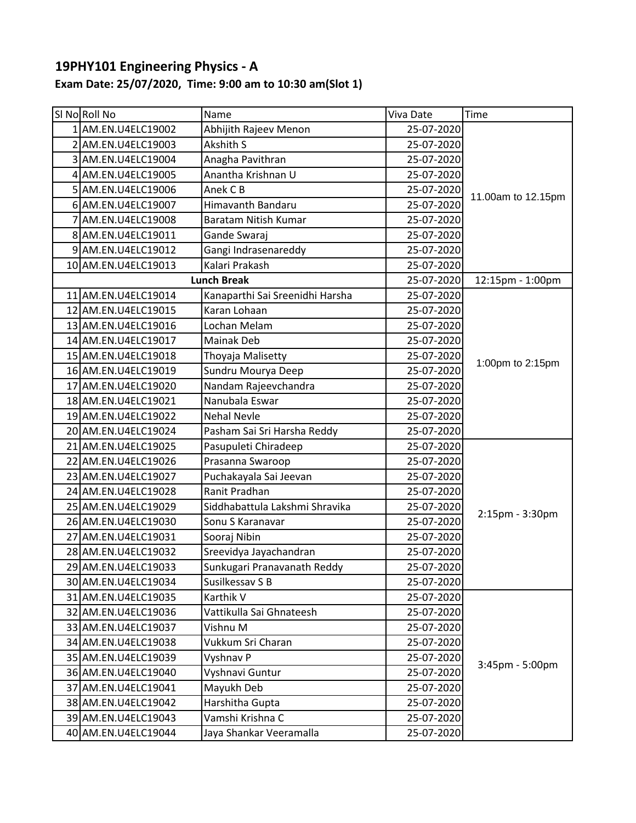## **19PHY101 Engineering Physics - A**

## **Exam Date: 25/07/2020, Time: 9:00 am to 10:30 am(Slot 1)**

| SI NoRoll No        | Name                            | Viva Date  | Time               |
|---------------------|---------------------------------|------------|--------------------|
| 1 AM.EN.U4ELC19002  | Abhijith Rajeev Menon           | 25-07-2020 |                    |
| 2 AM.EN.U4ELC19003  | Akshith S                       | 25-07-2020 |                    |
| 3 AM.EN.U4ELC19004  | Anagha Pavithran                | 25-07-2020 |                    |
| 4 AM.EN.U4ELC19005  | Anantha Krishnan U              | 25-07-2020 |                    |
| 5 AM.EN.U4ELC19006  | Anek C B                        | 25-07-2020 |                    |
| 6 AM.EN.U4ELC19007  | Himavanth Bandaru               | 25-07-2020 | 11.00am to 12.15pm |
| 7 AM.EN.U4ELC19008  | <b>Baratam Nitish Kumar</b>     | 25-07-2020 |                    |
| 8 AM.EN.U4ELC19011  | Gande Swaraj                    | 25-07-2020 |                    |
| 9 AM.EN.U4ELC19012  | Gangi Indrasenareddy            | 25-07-2020 |                    |
| 10 AM.EN.U4ELC19013 | Kalari Prakash                  | 25-07-2020 |                    |
|                     | <b>Lunch Break</b>              | 25-07-2020 | 12:15pm - 1:00pm   |
| 11 AM.EN.U4ELC19014 | Kanaparthi Sai Sreenidhi Harsha | 25-07-2020 |                    |
| 12 AM.EN.U4ELC19015 | Karan Lohaan                    | 25-07-2020 |                    |
| 13 AM.EN.U4ELC19016 | Lochan Melam                    | 25-07-2020 |                    |
| 14 AM.EN.U4ELC19017 | <b>Mainak Deb</b>               | 25-07-2020 |                    |
| 15 AM.EN.U4ELC19018 | Thoyaja Malisetty               | 25-07-2020 |                    |
| 16 AM.EN.U4ELC19019 | Sundru Mourya Deep              | 25-07-2020 | 1:00pm to 2:15pm   |
| 17 AM.EN.U4ELC19020 | Nandam Rajeevchandra            | 25-07-2020 |                    |
| 18 AM.EN.U4ELC19021 | Nanubala Eswar                  | 25-07-2020 |                    |
| 19 AM.EN.U4ELC19022 | <b>Nehal Nevle</b>              | 25-07-2020 |                    |
| 20 AM.EN.U4ELC19024 | Pasham Sai Sri Harsha Reddy     | 25-07-2020 |                    |
| 21 AM.EN.U4ELC19025 | Pasupuleti Chiradeep            | 25-07-2020 |                    |
| 22 AM.EN.U4ELC19026 | Prasanna Swaroop                | 25-07-2020 |                    |
| 23 AM.EN.U4ELC19027 | Puchakayala Sai Jeevan          | 25-07-2020 |                    |
| 24 AM.EN.U4ELC19028 | Ranit Pradhan                   | 25-07-2020 |                    |
| 25 AM.EN.U4ELC19029 | Siddhabattula Lakshmi Shravika  | 25-07-2020 |                    |
| 26 AM.EN.U4ELC19030 | Sonu S Karanavar                | 25-07-2020 | 2:15pm - 3:30pm    |
| 27 AM.EN.U4ELC19031 | Sooraj Nibin                    | 25-07-2020 |                    |
| 28 AM.EN.U4ELC19032 | Sreevidya Jayachandran          | 25-07-2020 |                    |
| 29 AM.EN.U4ELC19033 | Sunkugari Pranavanath Reddy     | 25-07-2020 |                    |
| 30 AM.EN.U4ELC19034 | Susilkessav S B                 | 25-07-2020 |                    |
| 31 AM.EN.U4ELC19035 | Karthik V                       | 25-07-2020 |                    |
| 32 AM.EN.U4ELC19036 | Vattikulla Sai Ghnateesh        | 25-07-2020 |                    |
| 33 AM.EN.U4ELC19037 | Vishnu M                        | 25-07-2020 |                    |
| 34 AM.EN.U4ELC19038 | Vukkum Sri Charan               | 25-07-2020 |                    |
| 35 AM.EN.U4ELC19039 | Vyshnav P                       | 25-07-2020 | 3:45pm - 5:00pm    |
| 36 AM.EN.U4ELC19040 | Vyshnavi Guntur                 | 25-07-2020 |                    |
| 37 AM.EN.U4ELC19041 | Mayukh Deb                      | 25-07-2020 |                    |
| 38 AM.EN.U4ELC19042 | Harshitha Gupta                 | 25-07-2020 |                    |
| 39 AM.EN.U4ELC19043 | Vamshi Krishna C                | 25-07-2020 |                    |
| 40 AM.EN.U4ELC19044 | Jaya Shankar Veeramalla         | 25-07-2020 |                    |